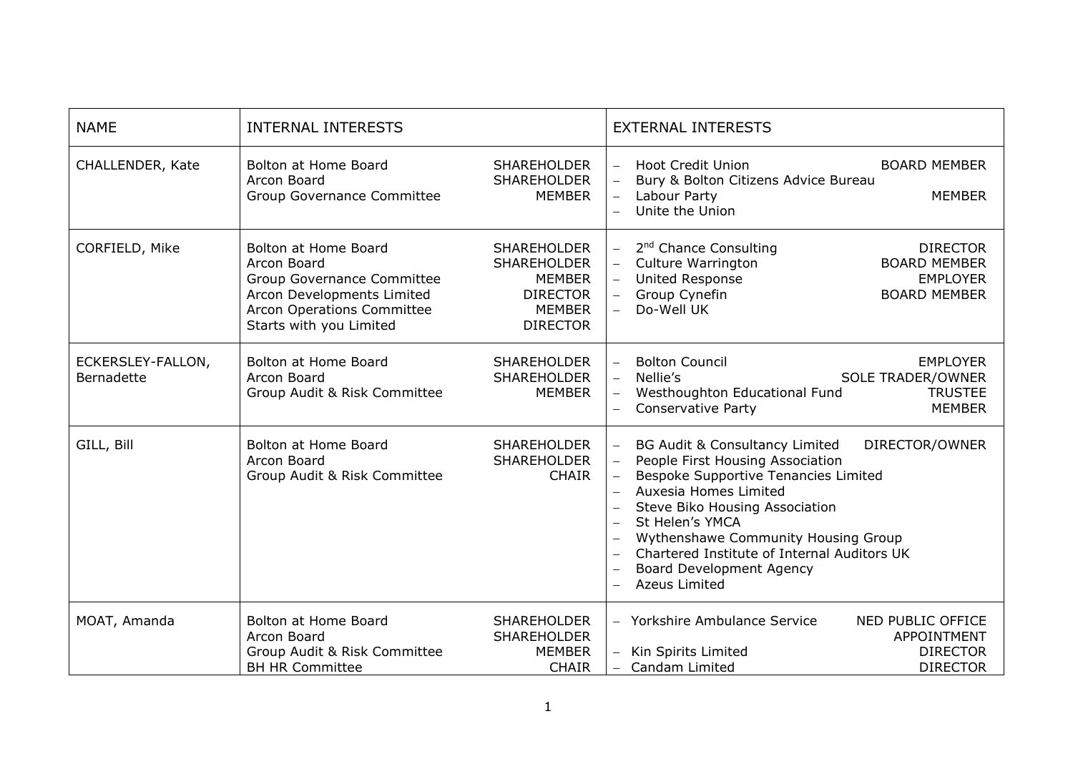| <b>NAME</b>                     | <b>INTERNAL INTERESTS</b>                                                                                                                                |                                                                                                                  | <b>EXTERNAL INTERESTS</b>                                                                                                                                                                                                                                                                                                                                        |
|---------------------------------|----------------------------------------------------------------------------------------------------------------------------------------------------------|------------------------------------------------------------------------------------------------------------------|------------------------------------------------------------------------------------------------------------------------------------------------------------------------------------------------------------------------------------------------------------------------------------------------------------------------------------------------------------------|
| CHALLENDER, Kate                | <b>Bolton at Home Board</b><br>Arcon Board<br>Group Governance Committee                                                                                 | <b>SHAREHOLDER</b><br><b>SHAREHOLDER</b><br><b>MEMBER</b>                                                        | <b>Hoot Credit Union</b><br><b>BOARD MEMBER</b><br>Bury & Bolton Citizens Advice Bureau<br>Labour Party<br><b>MEMBER</b><br>Unite the Union                                                                                                                                                                                                                      |
| CORFIELD, Mike                  | Bolton at Home Board<br>Arcon Board<br>Group Governance Committee<br>Arcon Developments Limited<br>Arcon Operations Committee<br>Starts with you Limited | <b>SHAREHOLDER</b><br><b>SHAREHOLDER</b><br><b>MEMBER</b><br><b>DIRECTOR</b><br><b>MEMBER</b><br><b>DIRECTOR</b> | 2 <sup>nd</sup> Chance Consulting<br><b>DIRECTOR</b><br>Culture Warrington<br><b>BOARD MEMBER</b><br>United Response<br><b>EMPLOYER</b><br>Group Cynefin<br><b>BOARD MEMBER</b><br>Do-Well UK                                                                                                                                                                    |
| ECKERSLEY-FALLON,<br>Bernadette | Bolton at Home Board<br>Arcon Board<br>Group Audit & Risk Committee                                                                                      | <b>SHAREHOLDER</b><br><b>SHAREHOLDER</b><br><b>MEMBER</b>                                                        | <b>Bolton Council</b><br><b>EMPLOYER</b><br>Nellie's<br><b>SOLE TRADER/OWNER</b><br>Westhoughton Educational Fund<br><b>TRUSTEE</b><br>$\equiv$<br><b>Conservative Party</b><br><b>MEMBER</b>                                                                                                                                                                    |
| GILL, Bill                      | Bolton at Home Board<br>Arcon Board<br>Group Audit & Risk Committee                                                                                      | <b>SHAREHOLDER</b><br>SHAREHOLDER<br><b>CHAIR</b>                                                                | BG Audit & Consultancy Limited<br>DIRECTOR/OWNER<br>People First Housing Association<br>$\equiv$<br>Bespoke Supportive Tenancies Limited<br>Auxesia Homes Limited<br>Steve Biko Housing Association<br>St Helen's YMCA<br>Wythenshawe Community Housing Group<br>Chartered Institute of Internal Auditors UK<br>Board Development Agency<br><b>Azeus Limited</b> |
| MOAT, Amanda                    | Bolton at Home Board<br>Arcon Board<br>Group Audit & Risk Committee<br><b>BH HR Committee</b>                                                            | SHAREHOLDER<br><b>SHAREHOLDER</b><br><b>MEMBER</b><br><b>CHAIR</b>                                               | - Yorkshire Ambulance Service<br>NED PUBLIC OFFICE<br>APPOINTMENT<br>Kin Spirits Limited<br><b>DIRECTOR</b><br><b>DIRECTOR</b><br>Candam Limited                                                                                                                                                                                                                 |